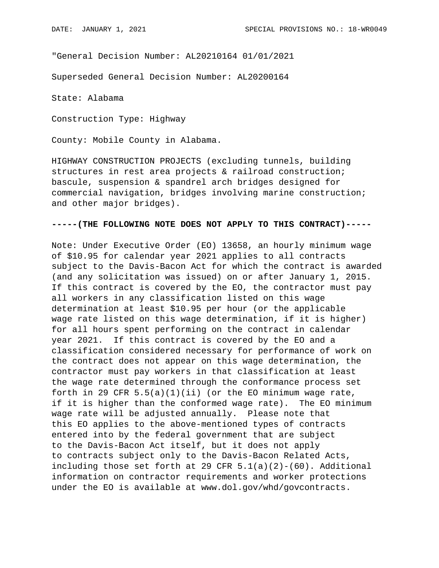"General Decision Number: AL20210164 01/01/2021

Superseded General Decision Number: AL20200164

State: Alabama

Construction Type: Highway

County: Mobile County in Alabama.

HIGHWAY CONSTRUCTION PROJECTS (excluding tunnels, building structures in rest area projects & railroad construction; bascule, suspension & spandrel arch bridges designed for commercial navigation, bridges involving marine construction; and other major bridges).

## **-----(THE FOLLOWING NOTE DOES NOT APPLY TO THIS CONTRACT)-----**

Note: Under Executive Order (EO) 13658, an hourly minimum wage of \$10.95 for calendar year 2021 applies to all contracts subject to the Davis-Bacon Act for which the contract is awarded (and any solicitation was issued) on or after January 1, 2015. If this contract is covered by the EO, the contractor must pay all workers in any classification listed on this wage determination at least \$10.95 per hour (or the applicable wage rate listed on this wage determination, if it is higher) for all hours spent performing on the contract in calendar year 2021. If this contract is covered by the EO and a classification considered necessary for performance of work on the contract does not appear on this wage determination, the contractor must pay workers in that classification at least the wage rate determined through the conformance process set forth in 29 CFR  $5.5(a)(1)(ii)$  (or the EO minimum wage rate, if it is higher than the conformed wage rate). The EO minimum wage rate will be adjusted annually. Please note that this EO applies to the above-mentioned types of contracts entered into by the federal government that are subject to the Davis-Bacon Act itself, but it does not apply to contracts subject only to the Davis-Bacon Related Acts, including those set forth at 29 CFR  $5.1(a)(2)-(60)$ . Additional information on contractor requirements and worker protections under the EO is available at www.dol.gov/whd/govcontracts.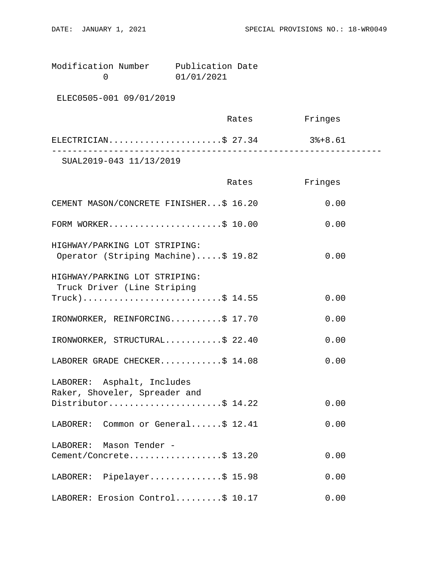Modification Number Publication Date<br>0 01/01/2021 0 01/01/2021

ELEC0505-001 09/01/2019

|                         | Rates | Fringes |  |
|-------------------------|-------|---------|--|
| ELECTRICIAN\$ 27.34     |       | 3%+8.61 |  |
| SUAL2019-043 11/13/2019 |       |         |  |

|                                                                      | Rates | Fringes |
|----------------------------------------------------------------------|-------|---------|
| CEMENT MASON/CONCRETE FINISHER\$ 16.20                               |       | 0.00    |
| FORM WORKER\$ 10.00                                                  |       | 0.00    |
| HIGHWAY/PARKING LOT STRIPING:<br>Operator (Striping Machine)\$ 19.82 |       | 0.00    |
| HIGHWAY/PARKING LOT STRIPING:<br>Truck Driver (Line Striping         |       |         |
| $True k)$ \$ 14.55                                                   |       | 0.00    |
| IRONWORKER, REINFORCING\$ 17.70                                      |       | 0.00    |
| IRONWORKER, STRUCTURAL\$ 22.40                                       |       | 0.00    |
| LABORER GRADE CHECKER\$ 14.08                                        |       | 0.00    |
| LABORER: Asphalt, Includes<br>Raker, Shoveler, Spreader and          |       |         |
| Distributor\$ 14.22                                                  |       | 0.00    |
| LABORER: Common or General\$ 12.41                                   |       | 0.00    |
| LABORER: Mason Tender -                                              |       |         |
| Cement/Concrete\$ 13.20                                              |       | 0.00    |
| LABORER: Pipelayer\$ 15.98                                           |       | 0.00    |
| LABORER: Erosion Control\$ 10.17                                     |       | 0.00    |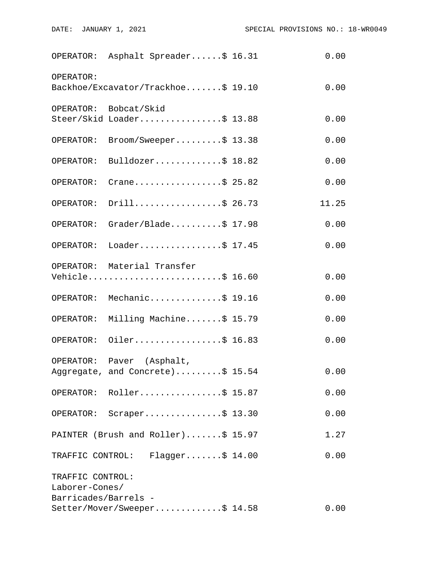|                                    | OPERATOR: Asphalt Spreader\$ 16.31                            | 0.00  |
|------------------------------------|---------------------------------------------------------------|-------|
| OPERATOR:                          | Backhoe/Excavator/Trackhoe\$ 19.10                            | 0.00  |
|                                    | OPERATOR: Bobcat/Skid<br>Steer/Skid Loader\$ 13.88            | 0.00  |
| OPERATOR:                          | $\texttt{Broom}/\texttt{Sweeper} \dots \dots \$ 13.38         | 0.00  |
| OPERATOR:                          | Bulldozer\$ 18.82                                             | 0.00  |
| OPERATOR:                          | Crane\$ 25.82                                                 | 0.00  |
| OPERATOR:                          | Drill\$ 26.73                                                 | 11.25 |
|                                    | OPERATOR: Grader/Blade\$ 17.98                                | 0.00  |
|                                    | OPERATOR: Loader\$ 17.45                                      | 0.00  |
|                                    | OPERATOR: Material Transfer<br>Vehicle\$ 16.60                | 0.00  |
|                                    | OPERATOR: Mechanic\$ 19.16                                    | 0.00  |
|                                    | OPERATOR: Milling Machine\$ 15.79                             | 0.00  |
|                                    | OPERATOR: Oiler\$ 16.83                                       | 0.00  |
|                                    | OPERATOR: Paver (Asphalt,<br>Aggregate, and Concrete)\$ 15.54 | 0.00  |
|                                    | OPERATOR: Roller\$ 15.87                                      | 0.00  |
|                                    | OPERATOR: Scraper\$ 13.30                                     | 0.00  |
|                                    | PAINTER (Brush and Roller)\$ 15.97                            | 1.27  |
|                                    | TRAFFIC CONTROL: Flagger\$ 14.00                              | 0.00  |
| TRAFFIC CONTROL:<br>Laborer-Cones/ |                                                               |       |
| Barricades/Barrels -               | Setter/Mover/Sweeper\$ 14.58                                  | 0.00  |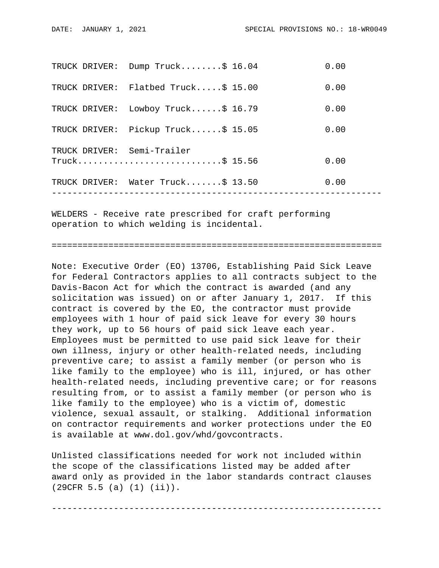|               | TRUCK DRIVER: Water Truck\$ 13.50           | 0.00 |
|---------------|---------------------------------------------|------|
|               | TRUCK DRIVER: Semi-Trailer<br>Truck\$ 15.56 | 0.00 |
| TRUCK DRIVER: | Pickup Truck\$ 15.05                        | 0.00 |
|               | TRUCK DRIVER: Lowboy Truck\$ 16.79          | 0.00 |
|               | TRUCK DRIVER: Flatbed Truck\$ 15.00         | 0.00 |
|               | TRUCK DRIVER: Dump Truck\$ 16.04            | 0.00 |

WELDERS - Receive rate prescribed for craft performing operation to which welding is incidental.

================================================================

Note: Executive Order (EO) 13706, Establishing Paid Sick Leave for Federal Contractors applies to all contracts subject to the Davis-Bacon Act for which the contract is awarded (and any solicitation was issued) on or after January 1, 2017. If this contract is covered by the EO, the contractor must provide employees with 1 hour of paid sick leave for every 30 hours they work, up to 56 hours of paid sick leave each year. Employees must be permitted to use paid sick leave for their own illness, injury or other health-related needs, including preventive care; to assist a family member (or person who is like family to the employee) who is ill, injured, or has other health-related needs, including preventive care; or for reasons resulting from, or to assist a family member (or person who is like family to the employee) who is a victim of, domestic violence, sexual assault, or stalking. Additional information on contractor requirements and worker protections under the EO is available at www.dol.gov/whd/govcontracts.

Unlisted classifications needed for work not included within the scope of the classifications listed may be added after award only as provided in the labor standards contract clauses (29CFR 5.5 (a) (1) (ii)).

----------------------------------------------------------------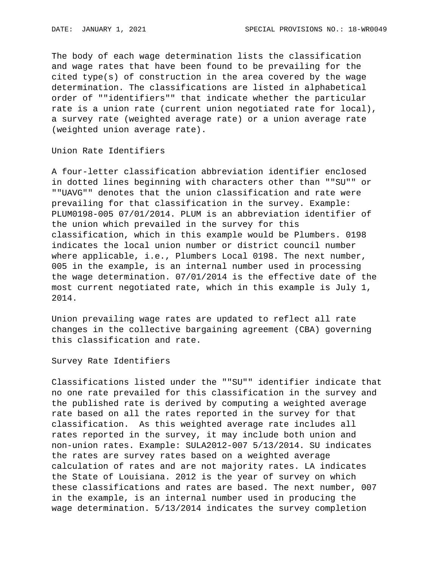The body of each wage determination lists the classification and wage rates that have been found to be prevailing for the cited type(s) of construction in the area covered by the wage determination. The classifications are listed in alphabetical order of ""identifiers"" that indicate whether the particular rate is a union rate (current union negotiated rate for local), a survey rate (weighted average rate) or a union average rate (weighted union average rate).

Union Rate Identifiers

A four-letter classification abbreviation identifier enclosed in dotted lines beginning with characters other than ""SU"" or ""UAVG"" denotes that the union classification and rate were prevailing for that classification in the survey. Example: PLUM0198-005 07/01/2014. PLUM is an abbreviation identifier of the union which prevailed in the survey for this classification, which in this example would be Plumbers. 0198 indicates the local union number or district council number where applicable, i.e., Plumbers Local 0198. The next number, 005 in the example, is an internal number used in processing the wage determination. 07/01/2014 is the effective date of the most current negotiated rate, which in this example is July 1, 2014.

Union prevailing wage rates are updated to reflect all rate changes in the collective bargaining agreement (CBA) governing this classification and rate.

Survey Rate Identifiers

Classifications listed under the ""SU"" identifier indicate that no one rate prevailed for this classification in the survey and the published rate is derived by computing a weighted average rate based on all the rates reported in the survey for that classification. As this weighted average rate includes all rates reported in the survey, it may include both union and non-union rates. Example: SULA2012-007 5/13/2014. SU indicates the rates are survey rates based on a weighted average calculation of rates and are not majority rates. LA indicates the State of Louisiana. 2012 is the year of survey on which these classifications and rates are based. The next number, 007 in the example, is an internal number used in producing the wage determination. 5/13/2014 indicates the survey completion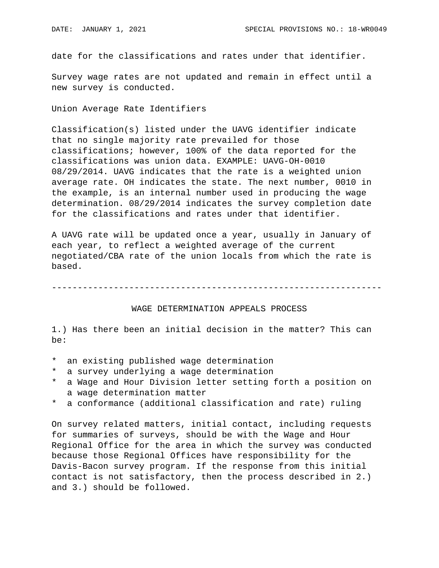date for the classifications and rates under that identifier.

Survey wage rates are not updated and remain in effect until a new survey is conducted.

Union Average Rate Identifiers

Classification(s) listed under the UAVG identifier indicate that no single majority rate prevailed for those classifications; however, 100% of the data reported for the classifications was union data. EXAMPLE: UAVG-OH-0010 08/29/2014. UAVG indicates that the rate is a weighted union average rate. OH indicates the state. The next number, 0010 in the example, is an internal number used in producing the wage determination. 08/29/2014 indicates the survey completion date for the classifications and rates under that identifier.

A UAVG rate will be updated once a year, usually in January of each year, to reflect a weighted average of the current negotiated/CBA rate of the union locals from which the rate is based.

----------------------------------------------------------------

## WAGE DETERMINATION APPEALS PROCESS

1.) Has there been an initial decision in the matter? This can be:

- \* an existing published wage determination
- \* a survey underlying a wage determination
- a Wage and Hour Division letter setting forth a position on a wage determination matter
- \* a conformance (additional classification and rate) ruling

On survey related matters, initial contact, including requests for summaries of surveys, should be with the Wage and Hour Regional Office for the area in which the survey was conducted because those Regional Offices have responsibility for the Davis-Bacon survey program. If the response from this initial contact is not satisfactory, then the process described in 2.) and 3.) should be followed.